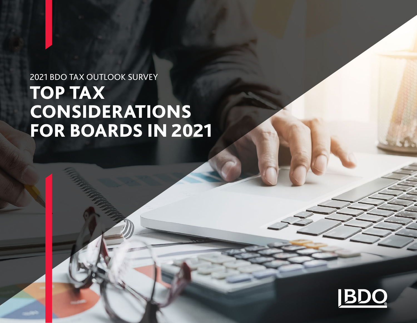# 2021 BDO TAX OUTLOOK SURVEY TOP TAX CONSIDERATIONS FOR BOARDS IN 2021

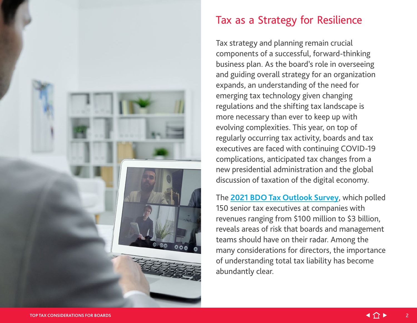

#### Tax as a Strategy for Resilience

Tax strategy and planning remain crucial components of a successful, forward-thinking business plan. As the board's role in overseeing and guiding overall strategy for an organization expands, an understanding of the need for emerging tax technology given changing regulations and the shifting tax landscape is more necessary than ever to keep up with evolving complexities. This year, on top of regularly occurring tax activity, boards and tax executives are faced with continuing COVID-19 complications, anticipated tax changes from a new presidential administration and the global discussion of taxation of the digital economy.

The **[2021 BDO Tax Outlook Survey](https://www.bdo.com/insights/tax/federal-tax/bdo-tax-outlook-survey)**, which polled 150 senior tax executives at companies with revenues ranging from \$100 million to \$3 billion, reveals areas of risk that boards and management teams should have on their radar. Among the many considerations for directors, the importance of understanding total tax liability has become abundantly clear.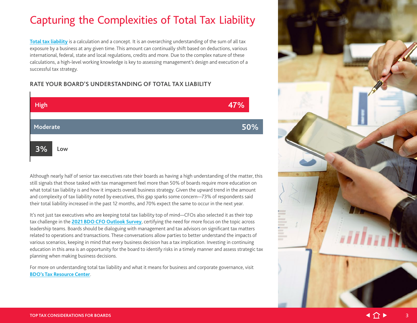## Capturing the Complexities of Total Tax Liability

**[Total tax liability](https://www.bdo.com/resources/total-tax-liability)** is a calculation and a concept. It is an overarching understanding of the sum of all tax exposure by a business at any given time. This amount can continually shift based on deductions, various international, federal, state and local regulations, credits and more. Due to the complex nature of these calculations, a high-level working knowledge is key to assessing management's design and execution of a successful tax strategy.

#### **RATE YOUR BOARD'S UNDERSTANDING OF TOTAL TAX LIABILITY**



Although nearly half of senior tax executives rate their boards as having a high understanding of the matter, this still signals that those tasked with tax management feel more than 50% of boards require more education on what total tax liability is and how it impacts overall business strategy. Given the upward trend in the amount and complexity of tax liability noted by executives, this gap sparks some concern—73% of respondents said their total liability increased in the past 12 months, and 70% expect the same to occur in the next year.

It's not just tax executives who are keeping total tax liability top of mind—CFOs also selected it as their top tax challenge in the **[2021 BDO CFO Outlook Survey](https://www.bdo.com/insights/industries/industries/2021-middle-market-cfo-outlook-survey)**, certifying the need for more focus on the topic across leadership teams. Boards should be dialoguing with management and tax advisors on significant tax matters related to operations and transactions. These conversations allow parties to better understand the impacts of various scenarios, keeping in mind that every business decision has a tax implication. Investing in continuing education in this area is an opportunity for the board to identify risks in a timely manner and assess strategic tax planning when making business decisions.

For more on understanding total tax liability and what it means for business and corporate governance, visit **[BDO's Tax Resource Center](https://www.bdo.com/resource-centers/tax-resource-center)**.

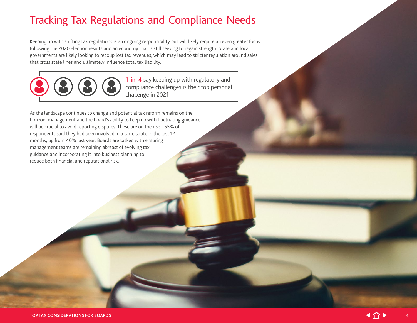#### Tracking Tax Regulations and Compliance Needs

Keeping up with shifting tax regulations is an ongoing responsibility but will likely require an even greater focus following the 2020 election results and an economy that is still seeking to regain strength. State and local governments are likely looking to recoup lost tax revenues, which may lead to stricter regulation around sales that cross state lines and ultimately influence total tax liability.



**1-in-4** say keeping up with regulatory and compliance challenges is their top personal challenge in 2021

As the landscape continues to change and potential tax reform remains on the horizon, management and the board's ability to keep up with fluctuating guidance will be crucial to avoid reporting disputes. These are on the rise—55% of respondents said they had been involved in a tax dispute in the last 12 months, up from 40% last year. Boards are tasked with ensuring management teams are remaining abreast of evolving tax guidance and incorporating it into business planning to reduce both financial and reputational risk.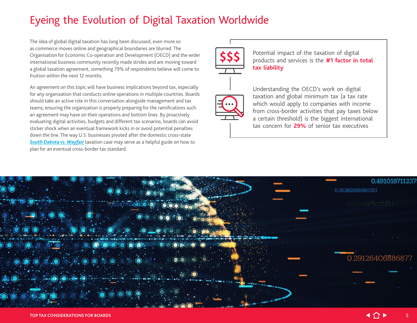#### Eyeing the Evolution of Digital Taxation Worldwide

The idea of global digital taxation has long been discussed, even more so as commerce moves online and geographical boundaries are blurred. The Organisation for Economic Co-operation and Development (OECD) and the wider international business community recently made strides and are moving toward a global taxation agreement, something 79% of respondents believe will come to fruition within the next 12 months.

An agreement on this topic will have business implications beyond tax, especially for any organization that conducts online operations in multiple countries. Boards should take an active role in this conversation alongside management and tax teams, ensuring the organization is properly preparing for the ramifications such an agreement may have on their operations and bottom lines. By proactively evaluating digital activities, budgets and different tax scenarios, boards can avoid sticker shock when an eventual framework kicks in or avoid potential penalties down the line. The way U.S. businesses pivoted after the domestic cross-state *[South Dakota vs. Wayfair](https://www.supremecourt.gov/opinions/17pdf/17-494_j4el.pdf)* taxation case may serve as a helpful guide on how to plan for an eventual cross-border tax standard.



Potential impact of the taxation of digital products and services is the **#1 factor in total tax liability**



Understanding the OECD's work on digital taxation and global minimum tax (a tax rate which would apply to companies with income from cross-border activities that pay taxes below a certain threshold) is the biggest international tax concern for **29%** of senior tax executives

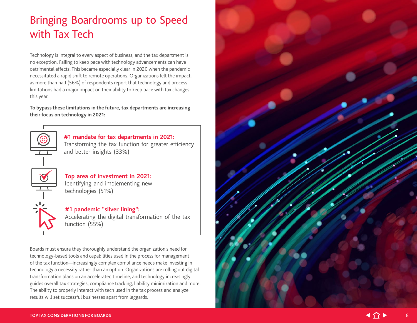## Bringing Boardrooms up to Speed with Tax Tech

Technology is integral to every aspect of business, and the tax department is no exception. Failing to keep pace with technology advancements can have detrimental effects. This became especially clear in 2020 when the pandemic necessitated a rapid shift to remote operations. Organizations felt the impact, as more than half (56%) of respondents report that technology and process limitations had a major impact on their ability to keep pace with tax changes this year.

**To bypass these limitations in the future, tax departments are increasing their focus on technology in 2021:**



**#1 mandate for tax departments in 2021:** Transforming the tax function for greater efficiency

and better insights (33%)

**Top area of investment in 2021:** Identifying and implementing new technologies (51%)

**#1 pandemic "silver lining":** Accelerating the digital transformation of the tax function (55%)

Boards must ensure they thoroughly understand the organization's need for technology-based tools and capabilities used in the process for management of the tax function—increasingly complex compliance needs make investing in technology a necessity rather than an option. Organizations are rolling out digital transformation plans on an accelerated timeline, and technology increasingly guides overall tax strategies, compliance tracking, liability minimization and more. The ability to properly interact with tech used in the tax process and analyze results will set successful businesses apart from laggards.

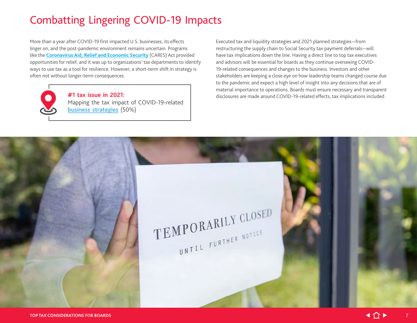#### Combatting Lingering COVID-19 Impacts

More than a year after COVID-19 first impacted U.S. businesses, its effects linger on, and the post-pandemic environment remains uncertain. Programs like the **[Coronavirus Aid, Relief and Economic Security](https://www.bdo.com/insights/tax/federal-tax/president-trump-signs-into-law-cares-act)** (CARES) Act provided opportunities for relief, and it was up to organizations' tax departments to identify ways to use tax as a tool for resilience. However, a short-term shift in strategy is often not without longer-term consequences.

> **#1 tax issue in 2021:** Mapping the tax impact of COVID-19-related **[business strategies](https://www.bdo.com/resource-centers/tax-resource-center/tax-relief-strategies-for-resilience)** (50%)

Executed tax and liquidity strategies and 2021 planned strategies—from restructuring the supply chain to Social Security tax payment deferrals—will have tax implications down the line. Having a direct line to top tax executives and advisors will be essential for boards as they continue overseeing COVID-19-related consequences and changes to the business. Investors and other stakeholders are keeping a close eye on how leadership teams changed course due to the pandemic and expect a high level of insight into any decisions that are of material importance to operations. Boards must ensure necessary and transparent disclosures are made around COVID-19-related effects, tax implications included.